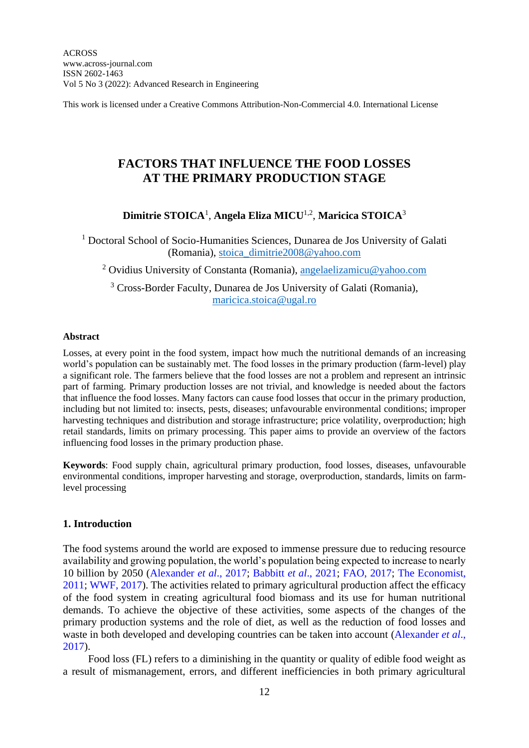This work is licensed under a Creative Commons Attribution-Non-Commercial 4.0. International License

# **FACTORS THAT INFLUENCE THE FOOD LOSSES AT THE PRIMARY PRODUCTION STAGE**

# **Dimitrie STOICA**<sup>1</sup> , **Angela Eliza MICU**1,2 , **Maricica STOICA**<sup>3</sup>

<sup>1</sup> Doctoral School of Socio-Humanities Sciences, Dunarea de Jos University of Galati (Romania), [stoica\\_dimitrie2008@yahoo.com](mailto:stoica_dimitrie2008@yahoo.com)

<sup>2</sup> Ovidius University of Constanta (Romania), [angelaelizamicu@yahoo.com](mailto:angelaelizamicu@yahoo.com)

<sup>3</sup> Cross-Border Faculty, Dunarea de Jos University of Galati (Romania), [maricica.stoica@ugal.ro](mailto:maricica.stoica@ugal.ro)

#### **Abstract**

Losses, at every point in the food system, impact how much the nutritional demands of an increasing world's population can be sustainably met. The food losses in the primary production (farm-level) play a significant role. The farmers believe that the food losses are not a problem and represent an intrinsic part of farming. Primary production losses are not trivial, and knowledge is needed about the factors that influence the food losses. Many factors can cause food losses that occur in the primary production, including but not limited to: insects, pests, diseases; unfavourable environmental conditions; improper harvesting techniques and distribution and storage infrastructure; price volatility, overproduction; high retail standards, limits on primary processing. This paper aims to provide an overview of the factors influencing food losses in the primary production phase.

**Keywords**: Food supply chain, agricultural primary production, food losses, diseases, unfavourable environmental conditions, improper harvesting and storage, overproduction, standards, limits on farmlevel processing

#### **1. Introduction**

The food systems around the world are exposed to immense pressure due to reducing resource availability and growing population, the world's population being expected to increase to nearly 10 billion by 2050 (Alexander *et al*., 2017; Babbitt *et al*., 2021; FAO, 2017; The Economist, 2011; WWF, 2017). The activities related to primary agricultural production affect the efficacy of the food system in creating agricultural food biomass and its use for human nutritional demands. To achieve the objective of these activities, some aspects of the changes of the primary production systems and the role of diet, as well as the reduction of food losses and waste in both developed and developing countries can be taken into account (Alexander *et al*., 2017).

Food loss (FL) refers to a diminishing in the quantity or quality of edible food weight as a result of mismanagement, errors, and different inefficiencies in both primary agricultural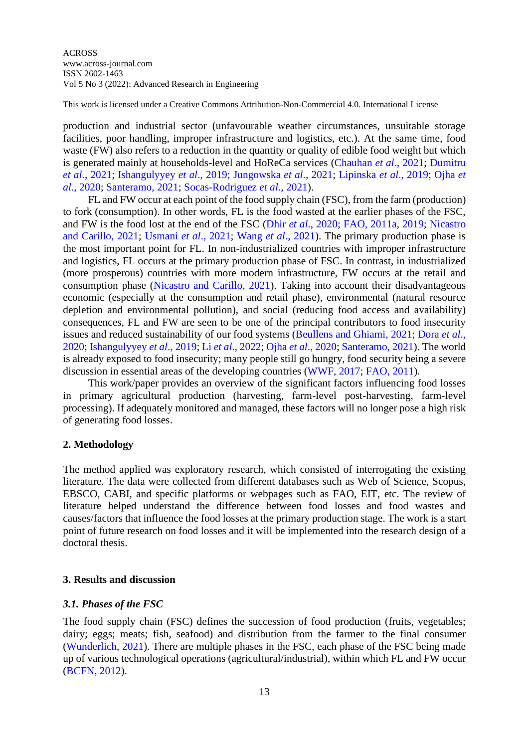This work is licensed under a Creative Commons Attribution-Non-Commercial 4.0. International License

production and industrial sector (unfavourable weather circumstances, unsuitable storage facilities, poor handling, improper infrastructure and logistics, etc.). At the same time, food waste (FW) also refers to a reduction in the quantity or quality of edible food weight but which is generated mainly at households-level and HoReCa services (Chauhan *et al*., 2021; Dumitru *et al*., 2021; Ishangulyyey *et al*., 2019; Jungowska *et al*., 2021; Lipinska *et al*., 2019; Ojha *et al*., 2020; Santeramo, 2021; Socas-Rodriguez *et al*., 2021).

FL and FW occur at each point of the food supply chain (FSC), from the farm (production) to fork (consumption). In other words, FL is the food wasted at the earlier phases of the FSC, and FW is the food lost at the end of the FSC (Dhir *et al*., 2020; FAO, 2011a, 2019; Nicastro and Carillo, 2021; Usmani *et al*., 2021; Wang *et al*., 2021). The primary production phase is the most important point for FL. In non-industrialized countries with improper infrastructure and logistics, FL occurs at the primary production phase of FSC. In contrast, in industrialized (more prosperous) countries with more modern infrastructure, FW occurs at the retail and consumption phase (Nicastro and Carillo, 2021). Taking into account their disadvantageous economic (especially at the consumption and retail phase), environmental (natural resource depletion and environmental pollution), and social (reducing food access and availability) consequences, FL and FW are seen to be one of the principal contributors to food insecurity issues and reduced sustainability of our food systems (Beullens and Ghiami, 2021; Dora *et al*., 2020; Ishangulyyey *et al*., 2019; Li *et al*., 2022; Ojha *et al*., 2020; Santeramo, 2021). The world is already exposed to food insecurity; many people still go hungry, food security being a severe discussion in essential areas of the developing countries (WWF, 2017; FAO, 2011).

This work/paper provides an overview of the significant factors influencing food losses in primary agricultural production (harvesting, farm-level post-harvesting, farm-level processing). If adequately monitored and managed, these factors will no longer pose a high risk of generating food losses.

## **2. Methodology**

The method applied was exploratory research, which consisted of interrogating the existing literature. The data were collected from different databases such as Web of Science, Scopus, EBSCO, CABI, and specific platforms or webpages such as FAO, EIT, etc. The review of literature helped understand the difference between food losses and food wastes and causes/factors that influence the food losses at the primary production stage. The work is a start point of future research on food losses and it will be implemented into the research design of a doctoral thesis.

# **3. Results and discussion**

## *3.1. Phases of the FSC*

The food supply chain (FSC) defines the succession of food production (fruits, vegetables; dairy; eggs; meats; fish, seafood) and distribution from the farmer to the final consumer (Wunderlich, 2021). There are multiple phases in the FSC, each phase of the FSC being made up of various technological operations (agricultural/industrial), within which FL and FW occur (BCFN, 2012).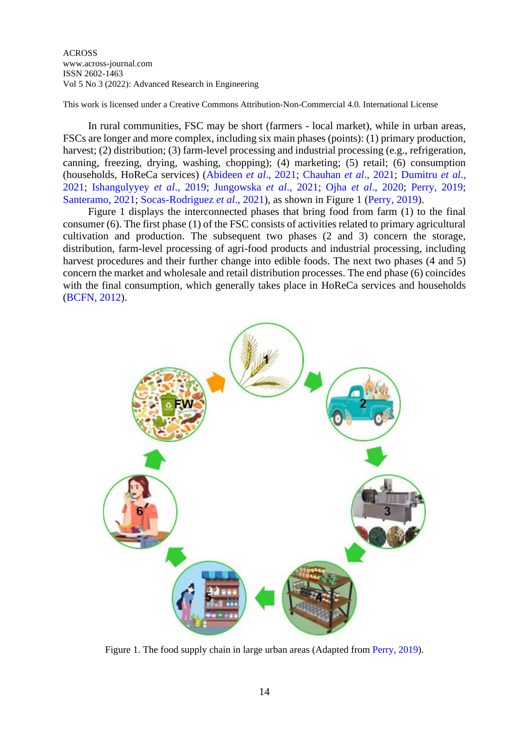This work is licensed under a Creative Commons Attribution-Non-Commercial 4.0. International License

In rural communities, FSC may be short (farmers - local market), while in urban areas, FSCs are longer and more complex, including six main phases (points): (1) primary production, harvest; (2) distribution; (3) farm-level processing and industrial processing (e.g., refrigeration, canning, freezing, drying, washing, chopping); (4) marketing; (5) retail; (6) consumption (households, HoReCa services) (Abideen *et al*., 2021; Chauhan *et al*., 2021; Dumitru *et al*., 2021; Ishangulyyey *et al*., 2019; Jungowska *et al*., 2021; Ojha *et al*., 2020; Perry, 2019; Santeramo, 2021; Socas-Rodriguez *et al*., 2021), as shown in Figure 1 (Perry, 2019).

Figure 1 displays the interconnected phases that bring food from farm (1) to the final consumer (6). The first phase (1) of the FSC consists of activities related to primary agricultural cultivation and production. The subsequent two phases (2 and 3) concern the storage, distribution, farm-level processing of agri-food products and industrial processing, including harvest procedures and their further change into edible foods. The next two phases (4 and 5) concern the market and wholesale and retail distribution processes. The end phase (6) coincides with the final consumption, which generally takes place in HoReCa services and households (BCFN, 2012).



Figure 1. The food supply chain in large urban areas (Adapted from Perry, 2019).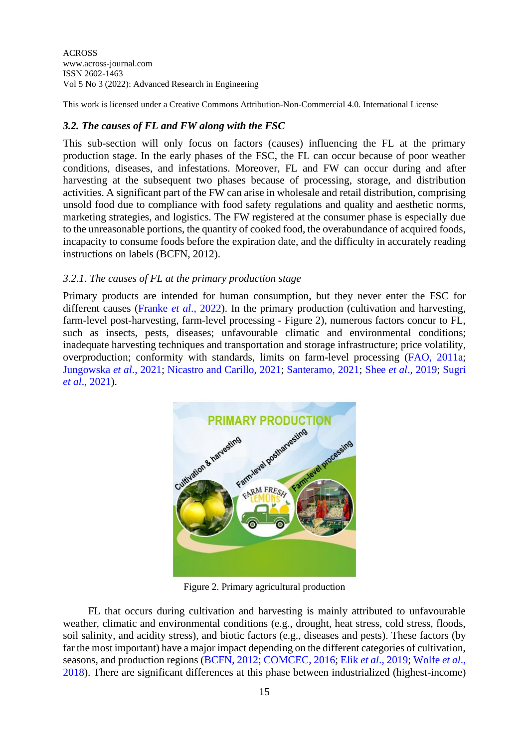This work is licensed under a Creative Commons Attribution-Non-Commercial 4.0. International License

# *3.2. The causes of FL and FW along with the FSC*

This sub-section will only focus on factors (causes) influencing the FL at the primary production stage. In the early phases of the FSC, the FL can occur because of poor weather conditions, diseases, and infestations. Moreover, FL and FW can occur during and after harvesting at the subsequent two phases because of processing, storage, and distribution activities. A significant part of the FW can arise in wholesale and retail distribution, comprising unsold food due to compliance with food safety regulations and quality and aesthetic norms, marketing strategies, and logistics. The FW registered at the consumer phase is especially due to the unreasonable portions, the quantity of cooked food, the overabundance of acquired foods, incapacity to consume foods before the expiration date, and the difficulty in accurately reading instructions on labels (BCFN, 2012).

## *3.2.1. The causes of FL at the primary production stage*

Primary products are intended for human consumption, but they never enter the FSC for different causes (Franke *et al*., 2022). In the primary production (cultivation and harvesting, farm-level post-harvesting, farm-level processing - Figure 2), numerous factors concur to FL, such as insects, pests, diseases; unfavourable climatic and environmental conditions; inadequate harvesting techniques and transportation and storage infrastructure; price volatility, overproduction; conformity with standards, limits on farm-level processing (FAO, 2011a; Jungowska *et al*., 2021; Nicastro and Carillo, 2021; Santeramo, 2021; Shee *et al*., 2019; Sugri *et al*., 2021).



Figure 2. Primary agricultural production

FL that occurs during cultivation and harvesting is mainly attributed to unfavourable weather, climatic and environmental conditions (e.g., drought, heat stress, cold stress, floods, soil salinity, and acidity stress), and biotic factors (e.g., diseases and pests). These factors (by far the most important) have a major impact depending on the different categories of cultivation, seasons, and production regions (BCFN, 2012; COMCEC, 2016; Elik *et al*., 2019; Wolfe *et al*., 2018). There are significant differences at this phase between industrialized (highest-income)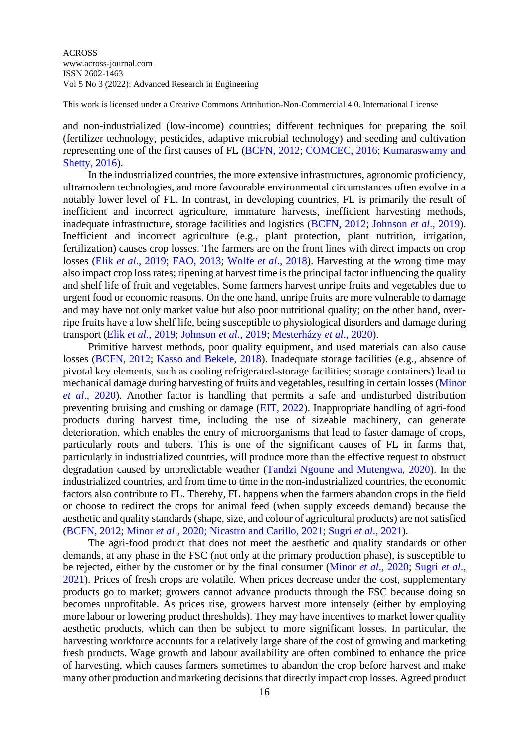This work is licensed under a Creative Commons Attribution-Non-Commercial 4.0. International License

and non-industrialized (low-income) countries; different techniques for preparing the soil (fertilizer technology, pesticides, adaptive microbial technology) and seeding and cultivation representing one of the first causes of FL (BCFN, 2012; COMCEC, 2016; Kumaraswamy and Shetty, 2016).

In the industrialized countries, the more extensive infrastructures, agronomic proficiency, ultramodern technologies, and more favourable environmental circumstances often evolve in a notably lower level of FL. In contrast, in developing countries, FL is primarily the result of inefficient and incorrect agriculture, immature harvests, inefficient harvesting methods, inadequate infrastructure, storage facilities and logistics (BCFN, 2012; Johnson *et al*., 2019). Inefficient and incorrect agriculture (e.g., plant protection, plant nutrition, irrigation, fertilization) causes crop losses. The farmers are on the front lines with direct impacts on crop losses (Elik *et al*., 2019; FAO, 2013; Wolfe *et al*., 2018). Harvesting at the wrong time may also impact crop loss rates; ripening at harvest time is the principal factor influencing the quality and shelf life of fruit and vegetables. Some farmers harvest unripe fruits and vegetables due to urgent food or economic reasons. On the one hand, unripe fruits are more vulnerable to damage and may have not only market value but also poor nutritional quality; on the other hand, overripe fruits have a low shelf life, being susceptible to physiological disorders and damage during transport (Elik *et al*., 2019; Johnson *et al*., 2019; Mesterházy *et al*., 2020).

Primitive harvest methods, poor quality equipment, and used materials can also cause losses (BCFN, 2012; Kasso and Bekele, 2018). Inadequate storage facilities (e.g., absence of pivotal key elements, such as cooling refrigerated-storage facilities; storage containers) lead to mechanical damage during harvesting of fruits and vegetables, resulting in certain losses (Minor *et al*., 2020). Another factor is handling that permits a safe and undisturbed distribution preventing bruising and crushing or damage (EIT, 2022). Inappropriate handling of agri-food products during harvest time, including the use of sizeable machinery, can generate deterioration, which enables the entry of microorganisms that lead to faster damage of crops, particularly roots and tubers. This is one of the significant causes of FL in farms that, particularly in industrialized countries, will produce more than the effective request to obstruct degradation caused by unpredictable weather (Tandzi Ngoune and Mutengwa, 2020). In the industrialized countries, and from time to time in the non-industrialized countries, the economic factors also contribute to FL. Thereby, FL happens when the farmers abandon crops in the field or choose to redirect the crops for animal feed (when supply exceeds demand) because the aesthetic and quality standards (shape, size, and colour of agricultural products) are not satisfied (BCFN, 2012; Minor *et al*., 2020; Nicastro and Carillo, 2021; Sugri *et al*., 2021).

The agri-food product that does not meet the aesthetic and quality standards or other demands, at any phase in the FSC (not only at the primary production phase), is susceptible to be rejected, either by the customer or by the final consumer (Minor *et al*., 2020; Sugri *et al*., 2021). Prices of fresh crops are volatile. When prices decrease under the cost, supplementary products go to market; growers cannot advance products through the FSC because doing so becomes unprofitable. As prices rise, growers harvest more intensely (either by employing more labour or lowering product thresholds). They may have incentives to market lower quality aesthetic products, which can then be subject to more significant losses. In particular, the harvesting workforce accounts for a relatively large share of the cost of growing and marketing fresh products. Wage growth and labour availability are often combined to enhance the price of harvesting, which causes farmers sometimes to abandon the crop before harvest and make many other production and marketing decisions that directly impact crop losses. Agreed product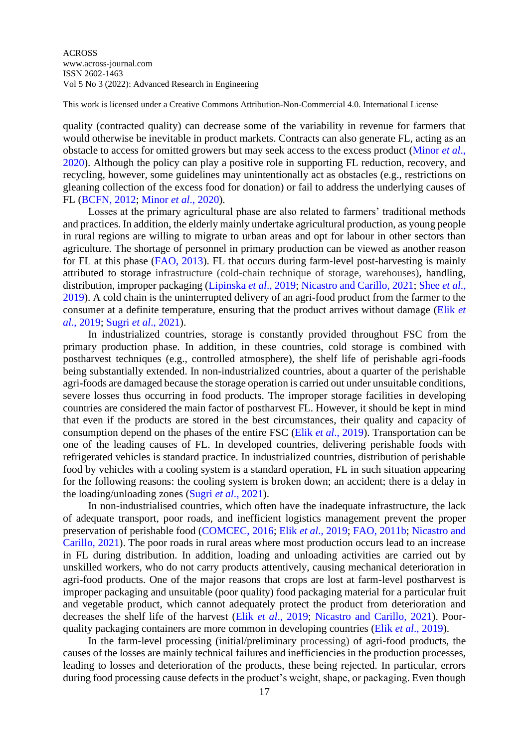This work is licensed under a Creative Commons Attribution-Non-Commercial 4.0. International License

quality (contracted quality) can decrease some of the variability in revenue for farmers that would otherwise be inevitable in product markets. Contracts can also generate FL, acting as an obstacle to access for omitted growers but may seek access to the excess product (Minor *et al*., 2020). Although the policy can play a positive role in supporting FL reduction, recovery, and recycling, however, some guidelines may unintentionally act as obstacles (e.g., restrictions on gleaning collection of the excess food for donation) or fail to address the underlying causes of FL (BCFN, 2012; Minor *et al*., 2020).

Losses at the primary agricultural phase are also related to farmers' traditional methods and practices. In addition, the elderly mainly undertake agricultural production, as young people in rural regions are willing to migrate to urban areas and opt for labour in other sectors than agriculture. The shortage of personnel in primary production can be viewed as another reason for FL at this phase (FAO, 2013). FL that occurs during farm-level post-harvesting is mainly attributed to storage infrastructure (cold-chain technique of storage, warehouses), handling, distribution, improper packaging (Lipinska *et al*., 2019; Nicastro and Carillo, 2021; Shee *et al*., 2019). A cold chain is the uninterrupted delivery of an agri-food product from the farmer to the consumer at a definite temperature, ensuring that the product arrives without damage (Elik *et al*., 2019; Sugri *et al*., 2021).

In industrialized countries, storage is constantly provided throughout FSC from the primary production phase. In addition, in these countries, cold storage is combined with postharvest techniques (e.g., controlled atmosphere), the shelf life of perishable agri-foods being substantially extended. In non-industrialized countries, about a quarter of the perishable agri-foods are damaged because the storage operation is carried out under unsuitable conditions, severe losses thus occurring in food products. The improper storage facilities in developing countries are considered the main factor of postharvest FL. However, it should be kept in mind that even if the products are stored in the best circumstances, their quality and capacity of consumption depend on the phases of the entire FSC (Elik *et al*., 2019). Transportation can be one of the leading causes of FL. In developed countries, delivering perishable foods with refrigerated vehicles is standard practice. In industrialized countries, distribution of perishable food by vehicles with a cooling system is a standard operation, FL in such situation appearing for the following reasons: the cooling system is broken down; an accident; there is a delay in the loading/unloading zones (Sugri *et al*., 2021).

In non-industrialised countries, which often have the inadequate infrastructure, the lack of adequate transport, poor roads, and inefficient logistics management prevent the proper preservation of perishable food (COMCEC, 2016; Elik *et al*., 2019; FAO, 2011b; Nicastro and Carillo, 2021). The poor roads in rural areas where most production occurs lead to an increase in FL during distribution. In addition, loading and unloading activities are carried out by unskilled workers, who do not carry products attentively, causing mechanical deterioration in agri-food products. One of the major reasons that crops are lost at farm-level postharvest is improper packaging and unsuitable (poor quality) food packaging material for a particular fruit and vegetable product, which cannot adequately protect the product from deterioration and decreases the shelf life of the harvest (Elik *et al*., 2019; Nicastro and Carillo, 2021). Poorquality packaging containers are more common in developing countries (Elik *et al*., 2019).

In the farm-level processing (initial/preliminary processing) of agri-food products, the causes of the losses are mainly technical failures and inefficiencies in the production processes, leading to losses and deterioration of the products, these being rejected. In particular, errors during food processing cause defects in the product's weight, shape, or packaging. Even though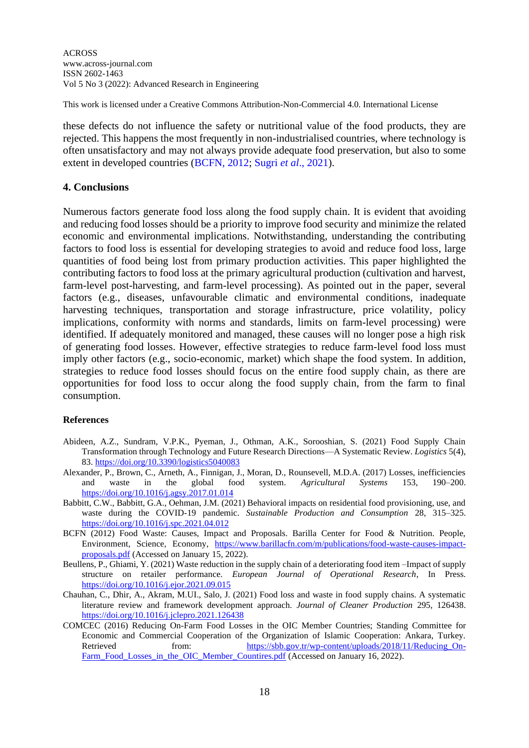This work is licensed under a Creative Commons Attribution-Non-Commercial 4.0. International License

these defects do not influence the safety or nutritional value of the food products, they are rejected. This happens the most frequently in non-industrialised countries, where technology is often unsatisfactory and may not always provide adequate food preservation, but also to some extent in developed countries (BCFN, 2012; Sugri *et al*., 2021).

## **4. Conclusions**

Numerous factors generate food loss along the food supply chain. It is evident that avoiding and reducing food losses should be a priority to improve food security and minimize the related economic and environmental implications. Notwithstanding, understanding the contributing factors to food loss is essential for developing strategies to avoid and reduce food loss, large quantities of food being lost from primary production activities. This paper highlighted the contributing factors to food loss at the primary agricultural production (cultivation and harvest, farm-level post-harvesting, and farm-level processing). As pointed out in the paper, several factors (e.g., diseases, unfavourable climatic and environmental conditions, inadequate harvesting techniques, transportation and storage infrastructure, price volatility, policy implications, conformity with norms and standards, limits on farm-level processing) were identified. If adequately monitored and managed, these causes will no longer pose a high risk of generating food losses. However, effective strategies to reduce farm-level food loss must imply other factors (e.g., socio-economic, market) which shape the food system. In addition, strategies to reduce food losses should focus on the entire food supply chain, as there are opportunities for food loss to occur along the food supply chain, from the farm to final consumption.

## **References**

- Abideen, A.Z., Sundram, V.P.K., Pyeman, J., Othman, A.K., Sorooshian, S. (2021) Food Supply Chain Transformation through Technology and Future Research Directions—A Systematic Review. *Logistics* 5(4), 83. <https://doi.org/10.3390/logistics5040083>
- Alexander, P., Brown, C., Arneth, A., Finnigan, J., Moran, D., Rounsevell, M.D.A. (2017) Losses, inefficiencies and waste in the global food system. *Agricultural Systems* 153, 190–200. <https://doi.org/10.1016/j.agsy.2017.01.014>
- Babbitt, C.W., Babbitt, G.A., Oehman, J.M. (2021) Behavioral impacts on residential food provisioning, use, and waste during the COVID-19 pandemic. *Sustainable Production and Consumption* 28, 315–325. <https://doi.org/10.1016/j.spc.2021.04.012>
- BCFN (2012) Food Waste: Causes, Impact and Proposals. Barilla Center for Food & Nutrition. People, Environment, Science, Economy, [https://www.barillacfn.com/m/publications/food-waste-causes-impact](https://www.barillacfn.com/m/publications/food-waste-causes-impact-proposals.pdf)[proposals.pdf](https://www.barillacfn.com/m/publications/food-waste-causes-impact-proposals.pdf) (Accessed on January 15, 2022).
- Beullens, P., Ghiami, Y. (2021) Waste reduction in the supply chain of a deteriorating food item –Impact of supply structure on retailer performance. *European Journal of Operational Research*, In Press. <https://doi.org/10.1016/j.ejor.2021.09.015>
- Chauhan, C., Dhir, A., Akram, M.UI., Salo, J. (2021) Food loss and waste in food supply chains. A systematic literature review and framework development approach. *Journal of Cleaner Production* 295, 126438. <https://doi.org/10.1016/j.jclepro.2021.126438>
- COMCEC (2016) Reducing On-Farm Food Losses in the OIC Member Countries; Standing Committee for Economic and Commercial Cooperation of the Organization of Islamic Cooperation: Ankara, Turkey. Retrieved from: https://sbb.gov.tr/wp-content/uploads/2018/11/Reducing On-[Farm\\_Food\\_Losses\\_in\\_the\\_OIC\\_Member\\_Countires.pdf](https://sbb.gov.tr/wp-content/uploads/2018/11/Reducing_On-Farm_Food_Losses_in_the_OIC_Member_Countires.pdf) (Accessed on January 16, 2022).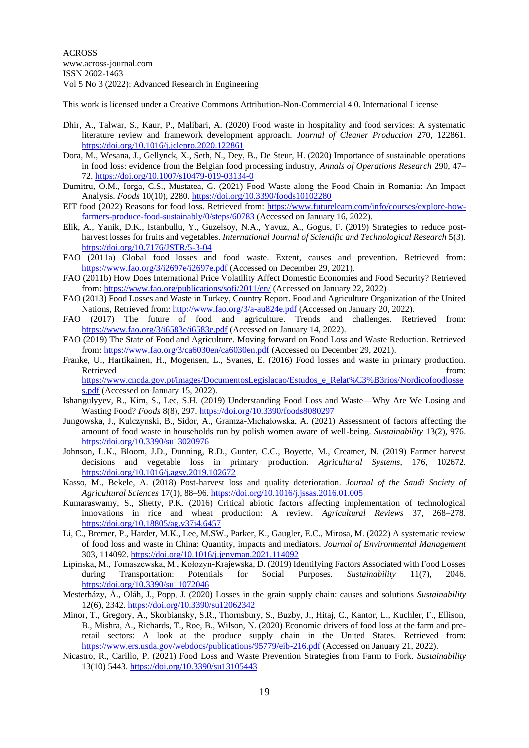This work is licensed under a Creative Commons Attribution-Non-Commercial 4.0. International License

- Dhir, A., Talwar, S., Kaur, P., Malibari, A. (2020) Food waste in hospitality and food services: A systematic literature review and framework development approach. *Journal of Cleaner Production* 270, 122861. <https://doi.org/10.1016/j.jclepro.2020.122861>
- Dora, M., Wesana, J., Gellynck, X., Seth, N., Dey, B., De Steur, H. (2020) Importance of sustainable operations in food loss: evidence from the Belgian food processing industry, *Annals of Operations Research* 290, 47– 72.<https://doi.org/10.1007/s10479-019-03134-0>
- Dumitru, O.M., Iorga, C.S., Mustatea, G. (2021) Food Waste along the Food Chain in Romania: An Impact Analysis. *Foods* 10(10), 2280. <https://doi.org/10.3390/foods10102280>
- EIT food (2022) Reasons for food loss. Retrieved from: [https://www.futurelearn.com/info/courses/explore-how](https://www.futurelearn.com/info/courses/explore-how-farmers-produce-food-sustainably/0/steps/60783)[farmers-produce-food-sustainably/0/steps/60783](https://www.futurelearn.com/info/courses/explore-how-farmers-produce-food-sustainably/0/steps/60783) (Accessed on January 16, 2022).
- Elik, A., Yanik, D.K., Istanbullu, Y., Guzelsoy, N.A., Yavuz, A., Gogus, F. (2019) Strategies to reduce postharvest losses for fruits and vegetables. *International Journal of Scientific and Technological Research* 5(3). <https://doi.org/10.7176/JSTR/5-3-04>
- FAO (2011a) Global food losses and food waste. Extent, causes and prevention. Retrieved from: <https://www.fao.org/3/i2697e/i2697e.pdf> (Accessed on December 29, 2021).
- FAO (2011b) How Does International Price Volatility Affect Domestic Economies and Food Security? Retrieved from: <https://www.fao.org/publications/sofi/2011/en/> (Accessed on January 22, 2022)
- FAO (2013) Food Losses and Waste in Turkey, Country Report. Food and Agriculture Organization of the United Nations, Retrieved from:<http://www.fao.org/3/a-au824e.pdf> (Accessed on January 20, 2022).
- FAO (2017) The future of food and agriculture. Trends and challenges. Retrieved from: <https://www.fao.org/3/i6583e/i6583e.pdf> (Accessed on January 14, 2022).
- FAO (2019) The State of Food and Agriculture. Moving forward on Food Loss and Waste Reduction. Retrieved from: <https://www.fao.org/3/ca6030en/ca6030en.pdf> (Accessed on December 29, 2021).
- Franke, U., Hartikainen, H., Mogensen, L., Svanes, E. (2016) Food losses and waste in primary production. Retrieved that the contract of the contract of the contract of the contract of the contract of the contract of the contract of the contract of the contract of the contract of the contract of the contract of the contract of [https://www.cncda.gov.pt/images/DocumentosLegislacao/Estudos\\_e\\_Relat%C3%B3rios/Nordicofoodlosse](https://www.cncda.gov.pt/images/DocumentosLegislacao/Estudos_e_Relat%C3%B3rios/Nordicofoodlosses.pdf)

[s.pdf](https://www.cncda.gov.pt/images/DocumentosLegislacao/Estudos_e_Relat%C3%B3rios/Nordicofoodlosses.pdf) (Accessed on January 15, 2022).

- Ishangulyyev, R., Kim, S., Lee, S.H. (2019) Understanding Food Loss and Waste—Why Are We Losing and Wasting Food? *Foods* 8(8), 297. <https://doi.org/10.3390/foods8080297>
- Jungowska, J., Kulczynski, B., Sidor, A., Gramza-Michałowska, A. (2021) Assessment of factors affecting the amount of food waste in households run by polish women aware of well-being. *Sustainability* 13(2), 976. <https://doi.org/10.3390/su13020976>
- Johnson, L.K., Bloom, J.D., Dunning, R.D., Gunter, C.C., Boyette, M., Creamer, N. (2019) Farmer harvest decisions and vegetable loss in primary production. *Agricultural Systems*, 176, 102672. <https://doi.org/10.1016/j.agsy.2019.102672>
- Kasso, M., Bekele, A. (2018) Post-harvest loss and quality deterioration. *Journal of the Saudi Society of Agricultural Sciences* 17(1), 88–96. <https://doi.org/10.1016/j.jssas.2016.01.005>
- Kumaraswamy, S., Shetty, P.K. (2016) Critical abiotic factors affecting implementation of technological innovations in rice and wheat production: A review. *Agricultural Reviews* 37, 268–278. <https://doi.org/10.18805/ag.v37i4.6457>
- Li, C., Bremer, P., Harder, M.K., Lee, M.SW., Parker, K., Gaugler, E.C., Mirosa, M. (2022) A systematic review of food loss and waste in China: Quantity, impacts and mediators. *Journal of Environmental Management* 303, 114092. <https://doi.org/10.1016/j.jenvman.2021.114092>
- Lipinska, M., Tomaszewska, M., Kołozyn-Krajewska, D. (2019) Identifying Factors Associated with Food Losses during Transportation: Potentials for Social Purposes. *Sustainability* 11(7), 2046. <https://doi.org/10.3390/su11072046>
- Mesterházy, Á., Oláh, J., Popp, J. (2020) Losses in the grain supply chain: causes and solutions *Sustainability* 12(6), 2342. <https://doi.org/10.3390/su12062342>
- Minor, T., Gregory, A., Skorbiansky, S.R., Thornsbury, S., Buzby, J., Hitaj, C., Kantor, L., Kuchler, F., Ellison, B., Mishra, A., Richards, T., Roe, B., Wilson, N. (2020) Economic drivers of food loss at the farm and preretail sectors: A look at the produce supply chain in the United States. Retrieved from: <https://www.ers.usda.gov/webdocs/publications/95779/eib-216.pdf> (Accessed on January 21, 2022).
- Nicastro, R., Carillo, P. (2021) Food Loss and Waste Prevention Strategies from Farm to Fork. *Sustainability* 13(10) 5443. <https://doi.org/10.3390/su13105443>